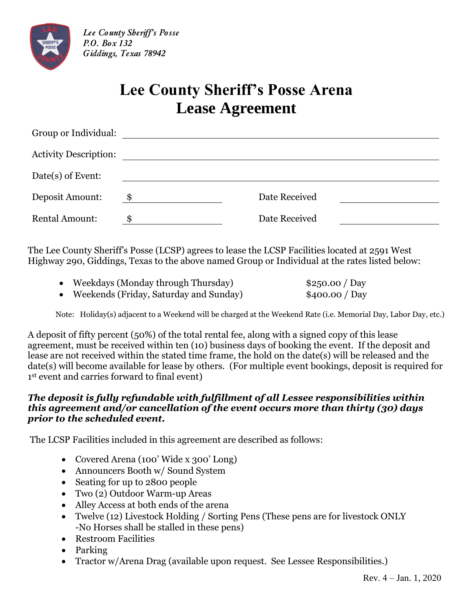

# **Lee County Sheriff's Posse Arena Lease Agreement**

| Group or Individual:         |     |               |  |
|------------------------------|-----|---------------|--|
| <b>Activity Description:</b> |     |               |  |
| Date(s) of Event:            |     |               |  |
| Deposit Amount:              | -\$ | Date Received |  |
| <b>Rental Amount:</b>        |     | Date Received |  |

The Lee County Sheriff's Posse (LCSP) agrees to lease the LCSP Facilities located at 2591 West Highway 290, Giddings, Texas to the above named Group or Individual at the rates listed below:

| • Weekdays (Monday through Thursday)     | \$250.00 / Day |
|------------------------------------------|----------------|
| • Weekends (Friday, Saturday and Sunday) | \$400.00 / Day |

Note: Holiday(s) adjacent to a Weekend will be charged at the Weekend Rate (i.e. Memorial Day, Labor Day, etc.)

A deposit of fifty percent (50%) of the total rental fee, along with a signed copy of this lease agreement, must be received within ten (10) business days of booking the event. If the deposit and lease are not received within the stated time frame, the hold on the date(s) will be released and the date(s) will become available for lease by others. (For multiple event bookings, deposit is required for 1 st event and carries forward to final event)

### *The deposit is fully refundable with fulfillment of all Lessee responsibilities within this agreement and/or cancellation of the event occurs more than thirty (30) days prior to the scheduled event.*

The LCSP Facilities included in this agreement are described as follows:

- Covered Arena (100' Wide x 300' Long)
- Announcers Booth w/ Sound System
- Seating for up to 2800 people
- Two (2) Outdoor Warm-up Areas
- Alley Access at both ends of the arena
- Twelve (12) Livestock Holding / Sorting Pens (These pens are for livestock ONLY -No Horses shall be stalled in these pens)
- Restroom Facilities
- Parking
- Tractor w/Arena Drag (available upon request. See Lessee Responsibilities.)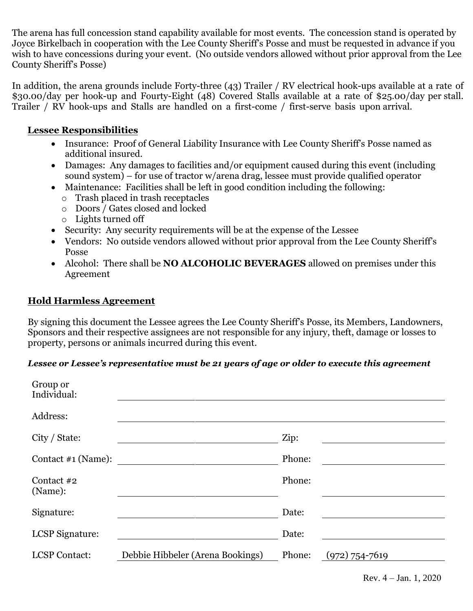The arena has full concession stand capability available for most events. The concession stand is operated by Joyce Birkelbach in cooperation with the Lee County Sheriff's Posse and must be requested in advance if you wish to have concessions during your event. (No outside vendors allowed without prior approval from the Lee County Sheriff's Posse)

In addition, the arena grounds include Forty-three (43) Trailer / RV electrical hook-ups available at a rate of \$30.00/day per hook-up and Fourty-Eight (48) Covered Stalls available at a rate of \$25.00/day per stall. Trailer / RV hook-ups and Stalls are handled on a first-come / first-serve basis upon arrival.

### **Lessee Responsibilities**

- Insurance: Proof of General Liability Insurance with Lee County Sheriff's Posse named as additional insured.
- Damages: Any damages to facilities and/or equipment caused during this event (including sound system) – for use of tractor w/arena drag, lessee must provide qualified operator
- Maintenance: Facilities shall be left in good condition including the following:
	- o Trash placed in trash receptacles
	- o Doors / Gates closed and locked
	- o Lights turned off
- Security: Any security requirements will be at the expense of the Lessee
- Vendors: No outside vendors allowed without prior approval from the Lee County Sheriff's Posse
- Alcohol: There shall be **NO ALCOHOLIC BEVERAGES** allowed on premises under this Agreement

### **Hold Harmless Agreement**

By signing this document the Lessee agrees the Lee County Sheriff's Posse, its Members, Landowners, Sponsors and their respective assignees are not responsible for any injury, theft, damage or losses to property, persons or animals incurred during this event.

### *Lessee or Lessee's representative must be 21 years of age or older to execute this agreement*

| Group or<br>Individual: |                                  |        |                  |
|-------------------------|----------------------------------|--------|------------------|
| Address:                |                                  |        |                  |
| City / State:           |                                  | Zip:   |                  |
| Contact #1 (Name):      |                                  | Phone: |                  |
| Contact #2<br>(Name):   |                                  | Phone: |                  |
| Signature:              |                                  | Date:  |                  |
| <b>LCSP</b> Signature:  |                                  | Date:  |                  |
| <b>LCSP</b> Contact:    | Debbie Hibbeler (Arena Bookings) | Phone: | $(972)$ 754-7619 |